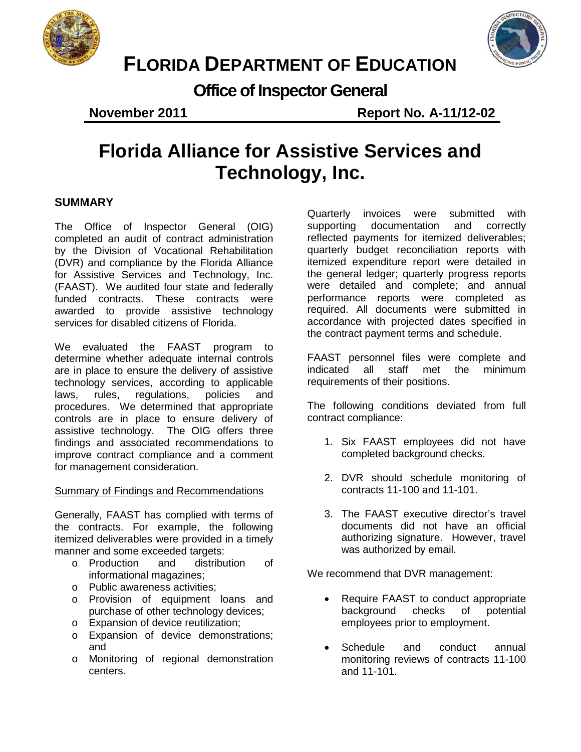



# **FLORIDA DEPARTMENT OF EDUCATION**

**Office of Inspector General**

**November 2011** Report No. A-11/12-02

# **Florida Alliance for Assistive Services and Technology, Inc.**

# **SUMMARY**

The Office of Inspector General (OIG) completed an audit of contract administration by the Division of Vocational Rehabilitation (DVR) and compliance by the Florida Alliance for Assistive Services and Technology, Inc. (FAAST). We audited four state and federally funded contracts. These contracts were awarded to provide assistive technology services for disabled citizens of Florida.

We evaluated the FAAST program to determine whether adequate internal controls are in place to ensure the delivery of assistive technology services, according to applicable laws, rules, regulations, policies and procedures. We determined that appropriate controls are in place to ensure delivery of assistive technology. The OIG offers three findings and associated recommendations to improve contract compliance and a comment for management consideration.

# Summary of Findings and Recommendations

Generally, FAAST has complied with terms of the contracts. For example, the following itemized deliverables were provided in a timely manner and some exceeded targets:

- o Production and distribution of informational magazines;
- o Public awareness activities;
- o Provision of equipment loans and purchase of other technology devices;
- o Expansion of device reutilization;
- o Expansion of device demonstrations; and
- o Monitoring of regional demonstration centers.

Quarterly invoices were submitted with supporting documentation and correctly reflected payments for itemized deliverables; quarterly budget reconciliation reports with itemized expenditure report were detailed in the general ledger; quarterly progress reports were detailed and complete; and annual performance reports were completed as required. All documents were submitted in accordance with projected dates specified in the contract payment terms and schedule.

FAAST personnel files were complete and indicated all staff met the minimum requirements of their positions.

The following conditions deviated from full contract compliance:

- 1. Six FAAST employees did not have completed background checks.
- 2. DVR should schedule monitoring of contracts 11-100 and 11-101.
- 3. The FAAST executive director's travel documents did not have an official authorizing signature. However, travel was authorized by email.

We recommend that DVR management:

- Require FAAST to conduct appropriate background checks of potential employees prior to employment.
- Schedule and conduct annual monitoring reviews of contracts 11-100 and 11-101.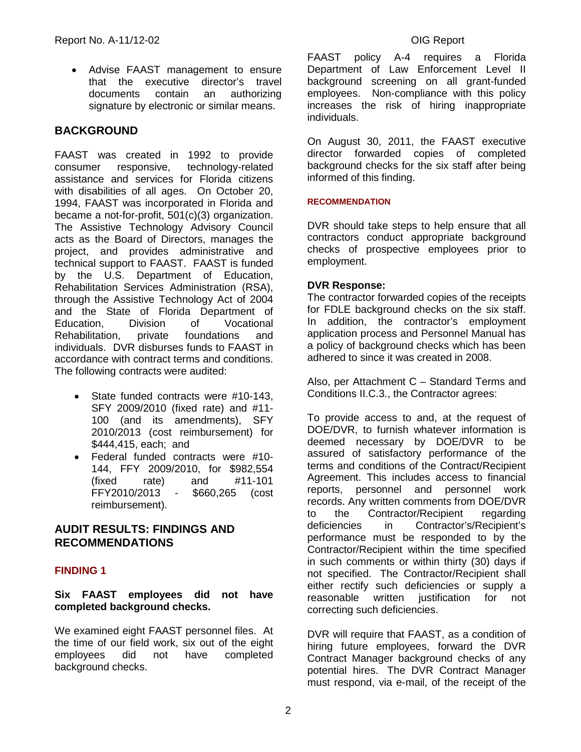• Advise FAAST management to ensure that the executive director's travel documents contain an authorizing signature by electronic or similar means.

# **BACKGROUND**

FAAST was created in 1992 to provide consumer responsive, technology-related assistance and services for Florida citizens with disabilities of all ages. On October 20, 1994, FAAST was incorporated in Florida and became a not-for-profit, 501(c)(3) organization. The Assistive Technology Advisory Council acts as the Board of Directors, manages the project, and provides administrative and technical support to FAAST. FAAST is funded by the U.S. Department of Education, Rehabilitation Services Administration (RSA), through the Assistive Technology Act of 2004 and the State of Florida Department of Education, Division of Vocational Rehabilitation, private foundations and individuals. DVR disburses funds to FAAST in accordance with contract terms and conditions. The following contracts were audited:

- State funded contracts were #10-143. SFY 2009/2010 (fixed rate) and #11- 100 (and its amendments), SFY 2010/2013 (cost reimbursement) for \$444,415, each; and
- Federal funded contracts were #10- 144, FFY 2009/2010, for \$982,554  $#11-101$ FFY2010/2013 - \$660,265 (cost reimbursement).

# **AUDIT RESULTS: FINDINGS AND RECOMMENDATIONS**

# **FINDING 1**

### **Six FAAST employees did not have completed background checks.**

We examined eight FAAST personnel files. At the time of our field work, six out of the eight employees did not have completed background checks.

FAAST policy A-4 requires a Florida Department of Law Enforcement Level II background screening on all grant-funded employees. Non-compliance with this policy increases the risk of hiring inappropriate individuals.

On August 30, 2011, the FAAST executive director forwarded copies of completed background checks for the six staff after being informed of this finding.

#### **RECOMMENDATION**

DVR should take steps to help ensure that all contractors conduct appropriate background checks of prospective employees prior to employment.

### **DVR Response:**

The contractor forwarded copies of the receipts for FDLE background checks on the six staff. In addition, the contractor's employment application process and Personnel Manual has a policy of background checks which has been adhered to since it was created in 2008.

Also, per Attachment C – Standard Terms and Conditions II.C.3., the Contractor agrees:

To provide access to and, at the request of DOE/DVR, to furnish whatever information is deemed necessary by DOE/DVR to be assured of satisfactory performance of the terms and conditions of the Contract/Recipient Agreement. This includes access to financial reports, personnel and personnel work records. Any written comments from DOE/DVR to the Contractor/Recipient regarding deficiencies in Contractor's/Recipient's performance must be responded to by the Contractor/Recipient within the time specified in such comments or within thirty (30) days if not specified. The Contractor/Recipient shall either rectify such deficiencies or supply a<br>reasonable written iustification for not reasonable written justification for not correcting such deficiencies.

DVR will require that FAAST, as a condition of hiring future employees, forward the DVR Contract Manager background checks of any potential hires. The DVR Contract Manager must respond, via e-mail, of the receipt of the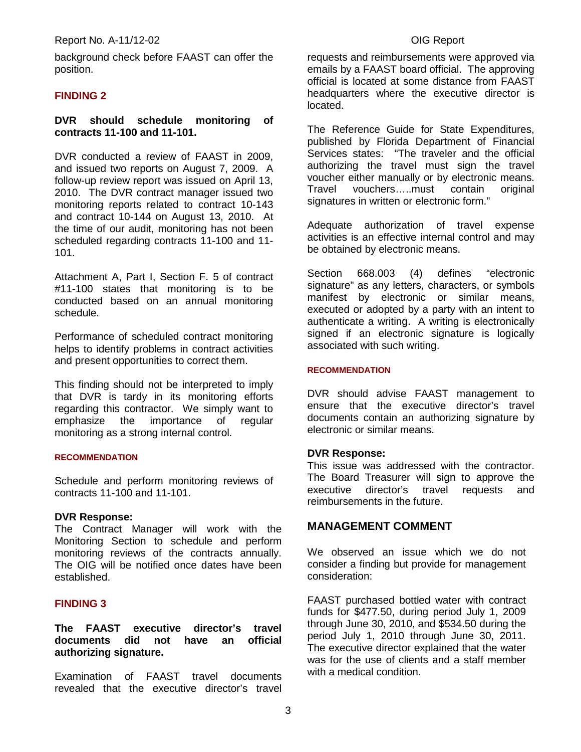background check before FAAST can offer the position.

#### **FINDING 2**

#### **DVR should schedule monitoring of contracts 11-100 and 11-101.**

DVR conducted a review of FAAST in 2009, and issued two reports on August 7, 2009. A follow-up review report was issued on April 13, 2010. The DVR contract manager issued two monitoring reports related to contract 10-143 and contract 10-144 on August 13, 2010. At the time of our audit, monitoring has not been scheduled regarding contracts 11-100 and 11- 101.

Attachment A, Part I, Section F. 5 of contract #11-100 states that monitoring is to be conducted based on an annual monitoring schedule.

Performance of scheduled contract monitoring helps to identify problems in contract activities and present opportunities to correct them.

This finding should not be interpreted to imply that DVR is tardy in its monitoring efforts regarding this contractor. We simply want to emphasize the importance of regular monitoring as a strong internal control.

#### **RECOMMENDATION**

Schedule and perform monitoring reviews of contracts 11-100 and 11-101.

#### **DVR Response:**

The Contract Manager will work with the Monitoring Section to schedule and perform monitoring reviews of the contracts annually. The OIG will be notified once dates have been established.

#### **FINDING 3**

**The FAAST executive director's travel documents did not have an official authorizing signature.**

Examination of FAAST travel documents revealed that the executive director's travel

requests and reimbursements were approved via emails by a FAAST board official. The approving official is located at some distance from FAAST headquarters where the executive director is located.

The Reference Guide for State Expenditures, published by Florida Department of Financial Services states: "The traveler and the official authorizing the travel must sign the travel voucher either manually or by electronic means. Travel vouchers…..must contain original signatures in written or electronic form."

Adequate authorization of travel expense activities is an effective internal control and may be obtained by electronic means.

Section 668.003 (4) defines "electronic signature" as any letters, characters, or symbols manifest by electronic or similar means, executed or adopted by a party with an intent to authenticate a writing. A writing is electronically signed if an electronic signature is logically associated with such writing.

#### **RECOMMENDATION**

DVR should advise FAAST management to ensure that the executive director's travel documents contain an authorizing signature by electronic or similar means.

#### **DVR Response:**

This issue was addressed with the contractor. The Board Treasurer will sign to approve the executive director's travel requests and reimbursements in the future.

### **MANAGEMENT COMMENT**

We observed an issue which we do not consider a finding but provide for management consideration:

FAAST purchased bottled water with contract funds for \$477.50, during period July 1, 2009 through June 30, 2010, and \$534.50 during the period July 1, 2010 through June 30, 2011. The executive director explained that the water was for the use of clients and a staff member with a medical condition.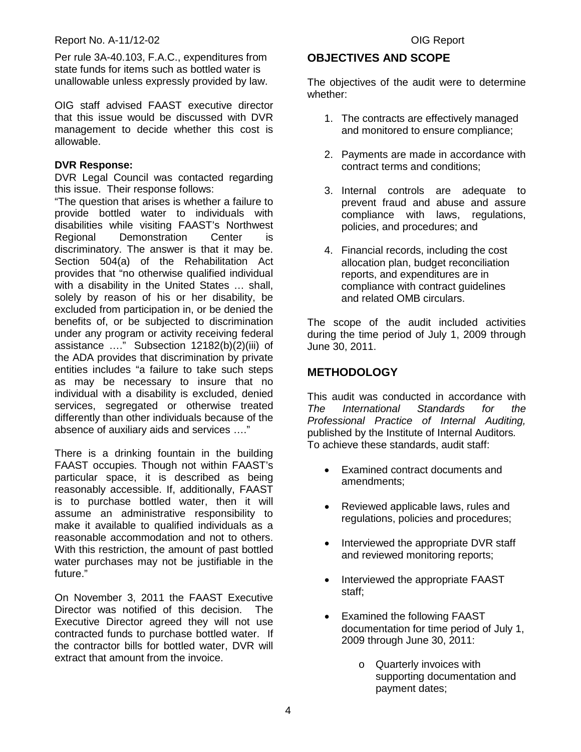Per rule 3A-40.103, F.A.C., expenditures from state funds for items such as bottled water is unallowable unless expressly provided by law.

OIG staff advised FAAST executive director that this issue would be discussed with DVR management to decide whether this cost is allowable.

### **DVR Response:**

DVR Legal Council was contacted regarding this issue. Their response follows:

"The question that arises is whether a failure to provide bottled water to individuals with disabilities while visiting FAAST's Northwest Regional Demonstration Center is discriminatory. The answer is that it may be. Section 504(a) of the Rehabilitation Act provides that "no otherwise qualified individual with a disability in the United States ... shall, solely by reason of his or her disability, be excluded from participation in, or be denied the benefits of, or be subjected to discrimination under any program or activity receiving federal assistance …." Subsection 12182(b)(2)(iii) of the ADA provides that discrimination by private entities includes "a failure to take such steps as may be necessary to insure that no individual with a disability is excluded, denied services, segregated or otherwise treated differently than other individuals because of the absence of auxiliary aids and services …."

There is a drinking fountain in the building FAAST occupies. Though not within FAAST's particular space, it is described as being reasonably accessible. If, additionally, FAAST is to purchase bottled water, then it will assume an administrative responsibility to make it available to qualified individuals as a reasonable accommodation and not to others. With this restriction, the amount of past bottled water purchases may not be justifiable in the future."

On November 3, 2011 the FAAST Executive Director was notified of this decision. The Executive Director agreed they will not use contracted funds to purchase bottled water. If the contractor bills for bottled water, DVR will extract that amount from the invoice.

# **OBJECTIVES AND SCOPE**

The objectives of the audit were to determine whether:

- 1. The contracts are effectively managed and monitored to ensure compliance;
- 2. Payments are made in accordance with contract terms and conditions;
- 3. Internal controls are adequate to prevent fraud and abuse and assure compliance with laws, regulations, policies, and procedures; and
- 4. Financial records, including the cost allocation plan, budget reconciliation reports, and expenditures are in compliance with contract guidelines and related OMB circulars.

The scope of the audit included activities during the time period of July 1, 2009 through June 30, 2011.

# **METHODOLOGY**

This audit was conducted in accordance with *The International Standards for the Professional Practice of Internal Auditing,*  published by the Institute of Internal Auditors*.*  To achieve these standards, audit staff:

- Examined contract documents and amendments;
- Reviewed applicable laws, rules and regulations, policies and procedures;
- Interviewed the appropriate DVR staff and reviewed monitoring reports;
- Interviewed the appropriate FAAST staff;
- Examined the following FAAST documentation for time period of July 1, 2009 through June 30, 2011:
	- o Quarterly invoices with supporting documentation and payment dates;